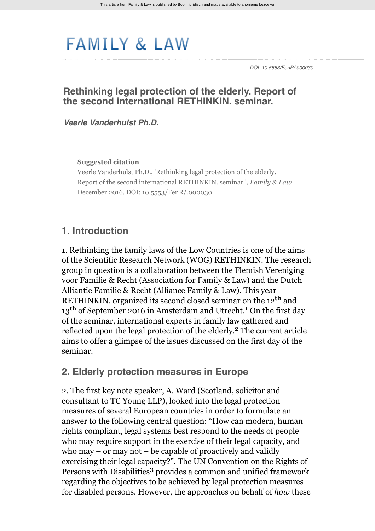# **FAMILY & LAW**

*DOI: 10.5553/FenR/.000030*

#### **Rethinking legal protection of the elderly. Report of the second international RETHINKIN. seminar.**

*[Veerle Vanderhulst Ph.D.](http://www.familyandlaw.eu/zoek?search_category=&search_journal_code=&search_text=%40auteur+Vanderhulst&search_year=)*

**Suggested citation**

Veerle Vanderhulst Ph.D., 'Rethinking legal protection of the elderly. Report of the second international RETHINKIN. seminar.', *Family & Law* December 2016, DOI: 10.5553/FenR/.000030

#### **1. Introduction**

1. Rethinking the family laws of the Low Countries is one of the aims of the Scientific Research Network (WOG) RETHINKIN. The research group in question is a collaboration between the Flemish Vereniging voor Familie & Recht (Association for Family & Law) and the Dutch Alliantie Familie & Recht (Alliance Family & Law). This year RETHINKIN. organized its second closed seminar on the 12<sup>th</sup> and 13<sup>th</sup> of September 2016 in Amsterdam and Utrecht.<sup>1</sup> On the first day of the seminar, international experts in family law gathered and reflected upon the legal protection of the elderly.<sup>2</sup> The current article aims to offer a glimpse of the issues discussed on the first day of the seminar.

#### **2. Elderly protection measures in Europe**

2. The first key note speaker, A. Ward (Scotland, solicitor and consultant to TC Young LLP), looked into the legal protection measures of several European countries in order to formulate an answer to the following central question: "How can modern, human rights compliant, legal systems best respond to the needs of people who may require support in the exercise of their legal capacity, and who may – or may not – be capable of proactively and validly exercising their legal capacity?". The UN Convention on the Rights of Persons with Disabilities<sup>3</sup> provides a common and unified framework regarding the objectives to be achieved by legal protection measures for disabled persons. However, the approaches on behalf of *how* these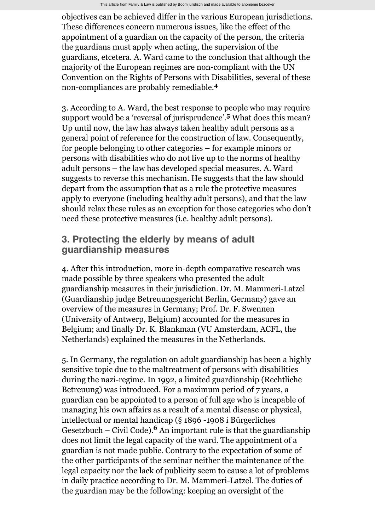objectives can be achieved differ in the various European jurisdictions. These differences concern numerous issues, like the effect of the appointment of a guardian on the capacity of the person, the criteria the guardians must apply when acting, the supervision of the guardians, etcetera. A. Ward came to the conclusion that although the majority of the European regimes are non-compliant with the UN Convention on the Rights of Persons with Disabilities, several of these non-compliances are probably remediable. **4**

3. According to A. Ward, the best response to people who may require support would be a 'reversal of jurisprudence'.<sup>5</sup> What does this mean? Up until now, the law has always taken healthy adult persons as a general point of reference for the construction of law. Consequently, for people belonging to other categories – for example minors or persons with disabilities who do not live up to the norms of healthy adult persons – the law has developed special measures. A. Ward suggests to reverse this mechanism. He suggests that the law should depart from the assumption that as a rule the protective measures apply to everyone (including healthy adult persons), and that the law should relax these rules as an exception for those categories who don't need these protective measures (i.e. healthy adult persons).

### **3. Protecting the elderly by means of adult guardianship measures**

4. After this introduction, more in-depth comparative research was made possible by three speakers who presented the adult guardianship measures in their jurisdiction. Dr. M. Mammeri-Latzel (Guardianship judge Betreuungsgericht Berlin, Germany) gave an overview of the measures in Germany; Prof. Dr. F. Swennen (University of Antwerp, Belgium) accounted for the measures in Belgium; and finally Dr. K. Blankman (VU Amsterdam, ACFL, the Netherlands) explained the measures in the Netherlands.

5. In Germany, the regulation on adult guardianship has been a highly sensitive topic due to the maltreatment of persons with disabilities during the nazi-regime. In 1992, a limited guardianship (Rechtliche Betreuung) was introduced. For a maximum period of 7 years, a guardian can be appointed to a person of full age who is incapable of managing his own affairs as a result of a mental disease or physical, intellectual or mental handicap (§ 1896 -1908 i Bürgerliches Gesetzbuch – Civil Code).<sup>6</sup> An important rule is that the guardianship does not limit the legal capacity of the ward. The appointment of a guardian is not made public. Contrary to the expectation of some of the other participants of the seminar neither the maintenance of the legal capacity nor the lack of publicity seem to cause a lot of problems in daily practice according to Dr. M. Mammeri-Latzel. The duties of the guardian may be the following: keeping an oversight of the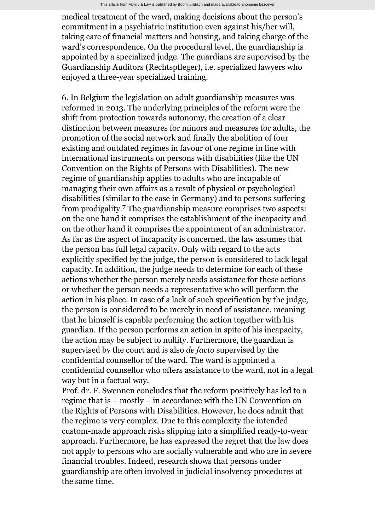medical treatment of the ward, making decisions about the person's commitment in a psychiatric institution even against his/her will, taking care of financial matters and housing, and taking charge of the ward's correspondence. On the procedural level, the guardianship is appointed by a specialized judge. The guardians are supervised by the Guardianship Auditors (Rechtspfleger), i.e. specialized lawyers who enjoyed a three-year specialized training.

6. In Belgium the legislation on adult guardianship measures was reformed in 2013. The underlying principles of the reform were the shift from protection towards autonomy, the creation of a clear distinction between measures for minors and measures for adults, the promotion of the social network and finally the abolition of four existing and outdated regimes in favour of one regime in line with international instruments on persons with disabilities (like the UN Convention on the Rights of Persons with Disabilities). The new regime of guardianship applies to adults who are incapable of managing their own affairs as a result of physical or psychological disabilities (similar to the case in Germany) and to persons suffering from prodigality.<sup>7</sup> The guardianship measure comprises two aspects: on the one hand it comprises the establishment of the incapacity and on the other hand it comprises the appointment of an administrator. As far as the aspect of incapacity is concerned, the law assumes that the person has full legal capacity. Only with regard to the acts explicitly specified by the judge, the person is considered to lack legal capacity. In addition, the judge needs to determine for each of these actions whether the person merely needs assistance for these actions or whether the person needs a representative who will perform the action in his place. In case of a lack of such specification by the judge, the person is considered to be merely in need of assistance, meaning that he himself is capable performing the action together with his guardian. If the person performs an action in spite of his incapacity, the action may be subject to nullity. Furthermore, the guardian is supervised by the court and is also *de facto* supervised by the confidential counsellor of the ward. The ward is appointed a confidential counsellor who offers assistance to the ward, not in a legal way but in a factual way.

Prof. dr. F. Swennen concludes that the reform positively has led to a regime that is – mostly – in accordance with the UN Convention on the Rights of Persons with Disabilities. However, he does admit that the regime is very complex. Due to this complexity the intended custom-made approach risks slipping into a simplified ready-to-wear approach. Furthermore, he has expressed the regret that the law does not apply to persons who are socially vulnerable and who are in severe financial troubles. Indeed, research shows that persons under guardianship are often involved in judicial insolvency procedures at the same time.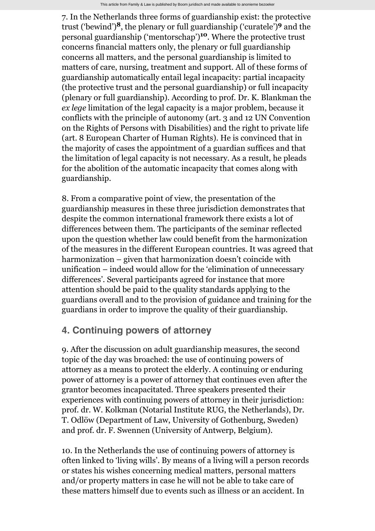7. In the Netherlands three forms of guardianship exist: the protective trust ('bewind')<sup>8</sup>, the plenary or full guardianship ('curatele')<sup>9</sup> and the personal guardianship ('mentorschap')<sup>10</sup>. Where the protective trust concerns financial matters only, the plenary or full guardianship concerns all matters, and the personal guardianship is limited to matters of care, nursing, treatment and support. All of these forms of guardianship automatically entail legal incapacity: partial incapacity (the protective trust and the personal guardianship) or full incapacity (plenary or full guardianship). According to prof. Dr. K. Blankman the *ex lege* limitation of the legal capacity is a major problem, because it conflicts with the principle of autonomy (art. 3 and 12 UN Convention on the Rights of Persons with Disabilities) and the right to private life (art. 8 European Charter of Human Rights). He is convinced that in the majority of cases the appointment of a guardian suffices and that the limitation of legal capacity is not necessary. As [a](http://wetten.overheid.nl/cgi-bin/deeplink/law1/bwbid=BWBR0004353/article=a) result, he pleads for the abolition of the automatic incapacity that comes along with guardianship.

8. From a comparative point of view, the presentation of the guardianship measures in these three jurisdiction demonstrates that despite the common international framework there exists a lot of differences between them. The participants of the seminar reflected upon the question whether law could benefit from the harmonization of the measures in the different European countries. It was agreed that harmonization – given that harmonization doesn't coincide with unification – indeed would allow for the 'elimination of unnecessary differences'. Several participants agreed for instance that more attention should be paid to the quality standards applying to the guardians overall and to the provision of guidance and training for the guardians in order to improve the quality of their guardianship.

## **4. Continuing powers of attorney**

9. After the discussion on adult guardianship measures, the second topic of the day was broached: the use of continuing powers of attorney as a means to protect the elderly. A continuing or enduring power of attorney is a power of attorney that continues even after the grantor becomes incapacitated. Three speakers presented their experiences with continuing powers of attorney in their jurisdiction: prof. dr. W. Kolkman (Notarial Institute RUG, the Netherlands), Dr. T. Odlöw (Department of Law, University of Gothenburg, Sweden) and prof. dr. F. Swennen (University of Antwerp, Belgium).

10. In the Netherlands the use of continuing powers of attorney is often linked to 'living wills'. By means of a living will a person records or states his wishes concerning medical matters, personal matters and/or property matters in case he will not be able to take care of these matters himself due to events such as illness or an accident. In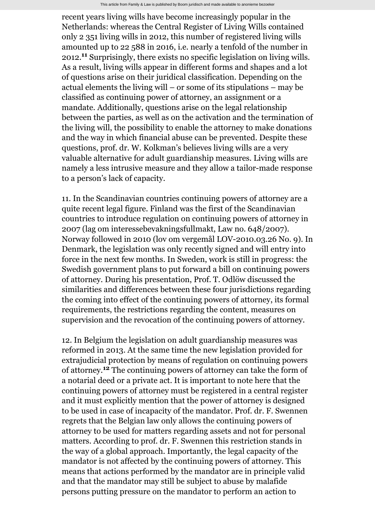recent years living wills have become increasingly popular in the Netherlands: whereas the Central Register of Living Wills contained only 2 351 living wills in 2012, this number of registered living wills amounted up to 22 588 in 2016, i.e. nearly a tenfold of the number in 2012.<sup>11</sup> Surprisingly, there exists no specific legislation on living wills. As [a](http://wetten.overheid.nl/cgi-bin/deeplink/law1/bwbid=BWBR0004353/article=a) result, living wills appear in different forms and shapes and a lot of questions arise on their juridical classification. Depending on the actual elements the living will – or some of its stipulations – may be classified as continuing power of attorney, an assignment or a mandate. Additionally, questions arise on the legal relationship between the parties, as well as on the activation and the termination of the living will, the possibility to enable the attorney to make donations and the way in which financial abuse can be prevented. Despite these questions, prof. dr. W. Kolkman's believes living wills are a very valuable alternative for adult guardianship measures. Living wills are namely a less intrusive measure and they allow a tailor-made response to a person's lack of capacity.

11. In the Scandinavian countries continuing powers of attorney are a quite recent legal figure. Finland was the first of the Scandinavian countries to introduce regulation on continuing powers of attorney in 2007 (lag om interessebevakningsfullmakt, Law no. 648/2007). Norway followed in 2010 (lov om vergemål LOV-2010.03.26 No. 9). In Denmark, the legislation was only recently signed and will entry into force in the next few months. In Sweden, work is still in progress: the Swedish government plans to put forward a bill on continuing powers of attorney. During his presentation, Prof. T. Odlöw discussed the similarities and differences between these four jurisdictions regarding the coming into effect of the continuing powers of attorney, its formal requirements, the restrictions regarding the content, measures on supervision and the revocation of the continuing powers of attorney.

12. In Belgium the legislation on adult guardianship measures was reformed in 2013. At the same time the new legislation provided for extrajudicial protection by means of regulation on continuing powers of attorney.<sup>12</sup> The continuing powers of attorney can take the form of a notarial deed or a private act. It is important to note here that the continuing powers of attorney must be registered in a central register and it must explicitly mention that the power of attorney is designed to be used in case of incapacity of the mandator. Prof. dr. F. Swennen regrets that the Belgian law only allows the continuing powers of attorney to be used for matters regarding assets and not for personal matters. According to prof. dr. F. Swennen this restriction stands in the way of a global approach. Importantly, the legal capacity of the mandator is not affected by the continuing powers of attorney. This means that actions performed by the mandator are in principle valid and that the mandator may still be subject to abuse by malafide persons putting pressure on the mandator to perform an action to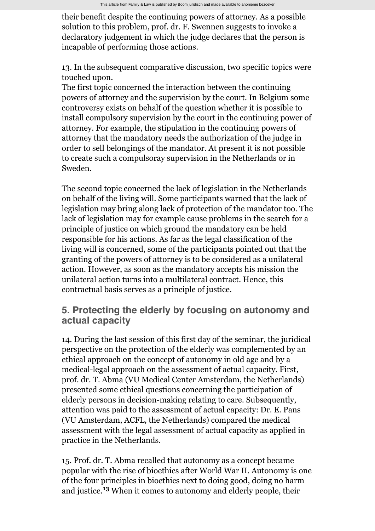their benefit despite the continuing powers of attorney. As [a](http://wetten.overheid.nl/cgi-bin/deeplink/law1/bwbid=BWBR0004353/article=a) possible solution to this problem, prof. dr. F. Swennen suggests to invoke a declaratory judgement in which the judge declares that the person is incapable of performing those actions.

13. In the subsequent comparative discussion, two specific topics were touched upon.

The first topic concerned the interaction between the continuing powers of attorney and the supervision by the court. In Belgium some controversy exists on behalf of the question whether it is possible to install compulsory supervision by the court in the continuing power of attorney. For example, the stipulation in the continuing powers of attorney that the mandatory needs the authorization of the judge in order to sell belongings of the mandator. At present it is not possible to create such a compulsoray supervision in the Netherlands or in Sweden.

The second topic concerned the lack of legislation in the Netherlands on behalf of the living will. Some participants warned that the lack of legislation may bring along lack of protection of the mandator too. The lack of legislation may for example cause problems in the search for a principle of justice on which ground the mandatory can be held responsible for his actions. As far as the legal classification of the living will is concerned, some of the participants pointed out that the granting of the powers of attorney is to be considered as a unilateral action. However, as soon as the mandatory accepts his mission the unilateral action turns into a multilateral contract. Hence, this contractual basis serves as a principle of justice.

#### **5. Protecting the elderly by focusing on autonomy and actual capacity**

14. During the last session of this first day of the seminar, the juridical perspective on the protection of the elderly was complemented by an ethical approach on the concept of autonomy in old age and by a medical-legal approach on the assessment of actual capacity. First, prof. dr. T. Abma (VU Medical Center Amsterdam, the Netherlands) presented some ethical questions concerning the participation of elderly persons in decision-making relating to care. Subsequently, attention was paid to the assessment of actual capacity: Dr. E. Pans (VU Amsterdam, ACFL, the Netherlands) compared the medical assessment with the legal assessment of actual capacity as applied in practice in the Netherlands.

15. Prof. dr. T. Abma recalled that autonomy as a concept became popular with the rise of bioethics after World War II. Autonomy is one of the four principles in bioethics next to doing good, doing no harm and justice.<sup>13</sup> When it comes to autonomy and elderly people, their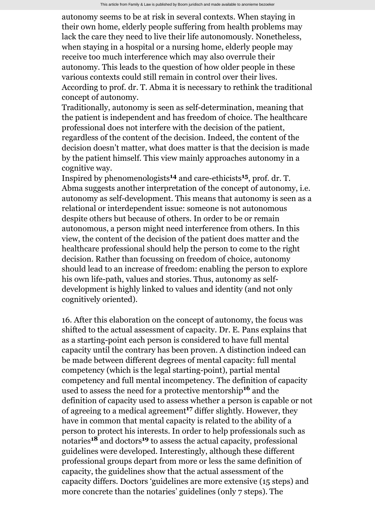This article from Family & Law is published by Boom juridisch and made available to anonieme bezoeker

autonomy seems to be at risk in several contexts. When staying in their own home, elderly people suffering from health problems may lack the care they need to live their life autonomously. Nonetheless, when staying in a hospital or a nursing home, elderly people may receive too much interference which may also overrule their autonomy. This leads to the question of how older people in these various contexts could still remain in control over their lives. According to prof. dr. T. Abma it is necessary to rethink the traditional concept of autonomy.

Traditionally, autonomy is seen as self-determination, meaning that the patient is independent and has freedom of choice. The healthcare professional does not interfere with the decision of the patient, regardless of the content of the decision. Indeed, the content of the decision doesn't matter, what does matter is that the decision is made by the patient himself. This view mainly approaches autonomy in a cognitive way.

Inspired by phenomenologists<sup>14</sup> and care-ethicists<sup>15</sup>, prof. dr. T. Abma suggests another interpretation of the concept of autonomy, i.e. autonomy as self-development. This means that autonomy is seen as a relational or interdependent issue: someone is not autonomous despite others but because of others. In order to be or remain autonomous, a person might need interference from others. In this view, the content of the decision of the patient does matter and the healthcare professional should help the person to come to the right decision. Rather than focussing on freedom of choice, autonomy should lead to an increase of freedom: enabling the person to explore his own life-path, values and stories. Thus, autonomy as selfdevelopment is highly linked to values and identity (and not only cognitively oriented).

16. After this elaboration on the concept of autonomy, the focus was shifted to the actual assessment of capacity. Dr. E. Pans explains that as a starting-point each person is considered to have full mental capacity until the contrary has been proven. A distinction indeed can be made between different degrees of mental capacity: full mental competency (which is the legal starting-point), partial mental competency and full mental incompetency. The definition of capacity used to assess the need for a protective mentorship<sup>16</sup> and the definition of capacity used to assess whether a person is capable or not of agreeing to a medical agreement<sup>17</sup> differ slightly. However, they have in common that mental capacity is related to the ability of a person to protect his interests. In order to help professionals such as notaries<sup>18</sup> and doctors<sup>19</sup> to assess the actual capacity, professional guidelines were developed. Interestingly, although these different professional groups depart from more or less the same definition of capacity, the guidelines show that the actual assessment of the capacity differs. Doctors 'guidelines are more extensive (15 steps) and more concrete than the notaries' guidelines (only 7 steps). The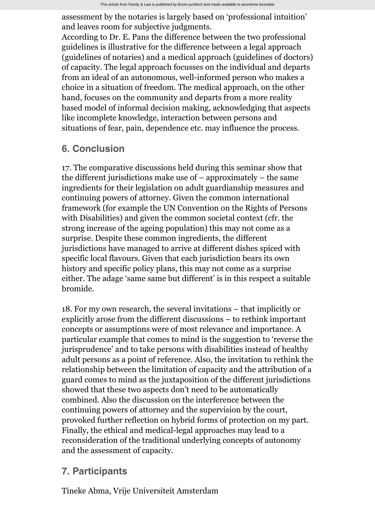assessment by the notaries is largely based on 'professional intuition' and leaves room for subjective judgments.

According to Dr. E. Pans the difference between the two professional guidelines is illustrative for the difference between a legal approach (guidelines of notaries) and a medical approach (guidelines of doctors) of capacity. The legal approach focusses on the individual and departs from an ideal of an autonomous, well-informed person who makes a choice in a situation of freedom. The medical approach, on the other hand, focuses on the community and departs from a more reality based model of informal decision making, acknowledging that aspects like incomplete knowledge, interaction between persons and situations of fear, pain, dependence etc. may influence the process.

## **6. Conclusion**

17. The comparative discussions held during this seminar show that the different jurisdictions make use of – approximately – the same ingredients for their legislation on adult guardianship measures and continuing powers of attorney. Given the common international framework (for example the UN Convention on the Rights of Persons with Disabilities) and given the common societal context (cfr. the strong increase of the ageing population) this may not come as a surprise. Despite these common ingredients, the different jurisdictions have managed to arrive at different dishes spiced with specific local flavours. Given that each jurisdiction bears its own history and specific policy plans, this may not come as a surprise either. The adage 'same same but different' is in this respect a suitable bromide.

18. For my own research, the several invitations – that implicitly or explicitly arose from the different discussions – to rethink important concepts or assumptions were of most relevance and importance. A particular example that comes to mind is the suggestion to 'reverse the jurisprudence' and to take persons with disabilities instead of healthy adult persons as a point of reference. Also, the invitation to rethink the relationship between the limitation of capacity and the attribution of a guard comes to mind as the juxtaposition of the different jurisdictions showed that these two aspects don't need to be automatically combined. Also the discussion on the interference between the continuing powers of attorney and the supervision by the court, provoked further reflection on hybrid forms of protection on my part. Finally, the ethical and medical-legal approaches may lead to a reconsideration of the traditional underlying concepts of autonomy and the assessment of capacity.

## **7. Participants**

Tineke Abma, Vrije Universiteit Amsterdam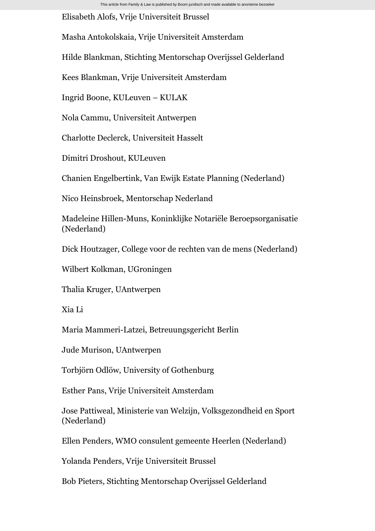Elisabeth Alofs, Vrije Universiteit Brussel

Masha Antokolskaia, Vrije Universiteit Amsterdam

Hilde Blankman, Stichting Mentorschap Overijssel Gelderland

Kees Blankman, Vrije Universiteit Amsterdam

Ingrid Boone, KULeuven – KULAK

Nola Cammu, Universiteit Antwerpen

Charlotte Declerck, Universiteit Hasselt

Dimitri Droshout, KULeuven

Chanien Engelbertink, Van Ewijk Estate Planning (Nederland)

Nico Heinsbroek, Mentorschap Nederland

Madeleine Hillen-Muns, Koninklijke Notariële Beroepsorganisatie (Nederland)

Dick Houtzager, College voor de rechten van de mens (Nederland)

Wilbert Kolkman, UGroningen

Thalia Kruger, UAntwerpen

Xia Li

Maria Mammeri-Latzei, Betreuungsgericht Berlin

Jude Murison, UAntwerpen

Torbjörn Odlöw, University of Gothenburg

Esther Pans, Vrije Universiteit Amsterdam

Jose Pattiweal, Ministerie van Welzijn, Volksgezondheid en Sport (Nederland)

Ellen Penders, WMO consulent gemeente Heerlen (Nederland)

Yolanda Penders, Vrije Universiteit Brussel

Bob Pieters, Stichting Mentorschap Overijssel Gelderland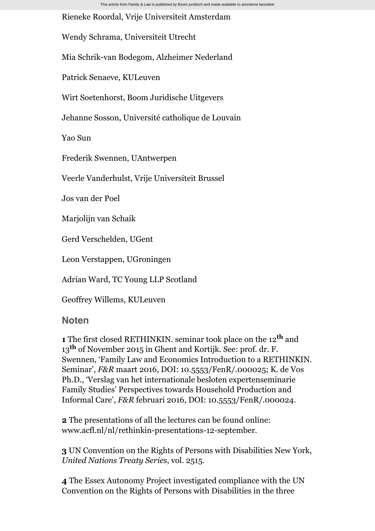This article from Family & Law is published by Boom juridisch and made available to anonieme bezoeker

Rieneke Roordal, Vrije Universiteit Amsterdam

Wendy Schrama, Universiteit Utrecht

Mia Schrik-van Bodegom, Alzheimer Nederland

Patrick Senaeve, KULeuven

Wirt Soetenhorst, Boom Juridische Uitgevers

Jehanne Sosson, Université catholique de Louvain

Yao Sun

Frederik Swennen, UAntwerpen

Veerle Vanderhulst, Vrije Universiteit Brussel

Jos van der Poel

Marjolijn van Schaik

Gerd Verschelden, UGent

Leon Verstappen, UGroningen

Adrian Ward, TC Young LLP Scotland

Geoffrey Willems, KULeuven

## **Noten**

**1** The first closed RETHINKIN. seminar took place on the 12<sup>th</sup> and 13<sup>th</sup> of November 2015 in Ghent and Kortijk. See: prof. dr. F. Swennen, 'Family Law and Economics Introduction to a RETHINKIN. Seminar', *F&R* maart 2016, DOI: 10.5553/FenR/.000025; K. de Vos Ph.D., 'Verslag van het internationale besloten expertenseminarie Family Studies' Perspectives towards Household Production and Informal Care', *F&R* februari 2016, DOI: 10.5553/FenR/.000024.

**2** The presentations of all the lectures can be found online: [www.acfl.nl/nl/rethinkin-presentations-12-september.](http://www.acfl.nl/nl/rethinkin-presentations-12-september)

**3** UN Convention on the Rights of Persons with Disabilities New York, *United Nations Treaty Series*, vol. 2515.

**4** The Essex Autonomy Project investigated compliance with the UN Convention on the Rights of Persons with Disabilities in the three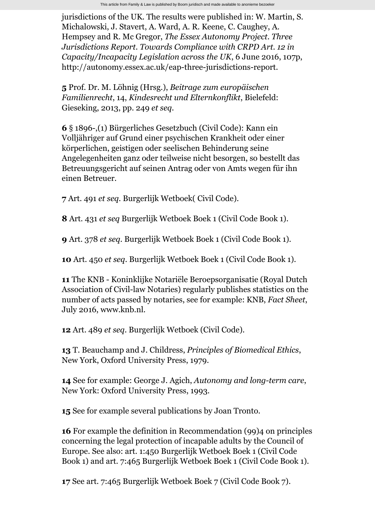jurisdictions of the UK. The results were published in: W. Martin, S. Michalowski, J. Stavert, A. Ward, A. R. Keene, C. Caughey, A. Hempsey and R. Mc Gregor, *The Essex Autonomy Project. Three Jurisdictions Report. Towards Compliance with CRPD Art. 12 in Capacity/Incapacity Legislation across the UK*, 6 June 2016, 107p, [http://autonomy.essex.ac.uk/eap-three-jurisdictions-report.](http://autonomy.essex.ac.uk/eap-three-jurisdictions-report)

**5** Prof. Dr. M. Löhnig (Hrsg.), *Beitrage zum europäischen Familienrecht*, 14, *Kindesrecht und Elternkonflikt*, Bielefeld: Gieseking, 2013, pp. 249 *et seq*.

**6** § 1896-,(1) Bürgerliches Gesetzbuch (Civil Code): Kann ein Volljähriger auf Grund einer psychischen Krankheit oder einer körperlichen, geistigen oder seelischen Behinderung seine Angelegenheiten ganz oder teilweise nicht besorgen, so bestellt das Betreuungsgericht auf seinen Antrag oder von Amts wegen für ihn einen Betreuer.

**7** Art. 491 *et seq*. Burgerlijk Wetboek( Civil Code).

**8** Art. 431 *et seq* Burgerlijk Wetboek Boek 1 (Civil Code Book 1).

**9** Art. 378 *et seq*. Burgerlijk Wetboek Boek 1 (Civil Code Book 1).

**10** Art. 450 *et seq*. Burgerlijk Wetboek Boek 1 (Civil Code Book 1).

**11** The KNB - Koninklijke Notariële Beroepsorganisatie (Royal Dutch Association of Civil-law Notaries) regularly publishes statistics on the number of acts passed by notaries, see for example: KNB, *Fact Sheet*, July 2016, [www.knb.nl.](http://www.knb.nl/)

**12** Art. 489 *et seq*. Burgerlijk Wetboek (Civil Code).

**13** T. Beauchamp and J. Childress, *Principles of Biomedical Ethics*, New York, Oxford University Press, 1979.

**14** See for example: George J. Agich, *Autonomy and long-term care*, New York: Oxford University Press, 1993.

**15** See for example several publications by Joan Tronto.

**16** For example the definition in Recommendation (99)4 on principles concerning the legal protection of incapable adults by the Council of Europe. See also: art. [1:450](http://wetten.overheid.nl/cgi-bin/deeplink/law1/bwbid=BWBR0002656/article=1:450) Burgerlijk Wetboek Boek 1 (Civil Code Book 1) and art. [7:465](http://wetten.overheid.nl/cgi-bin/deeplink/law1/bwbid=BWBR0002656/article=7:465) Burgerlijk Wetboek Boek 1 (Civil Code Book 1).

**17** See art. [7:465](http://wetten.overheid.nl/cgi-bin/deeplink/law1/bwbid=BWBR0005290/article=7:465) Burgerlijk Wetboek Boek 7 (Civil Code Book 7).